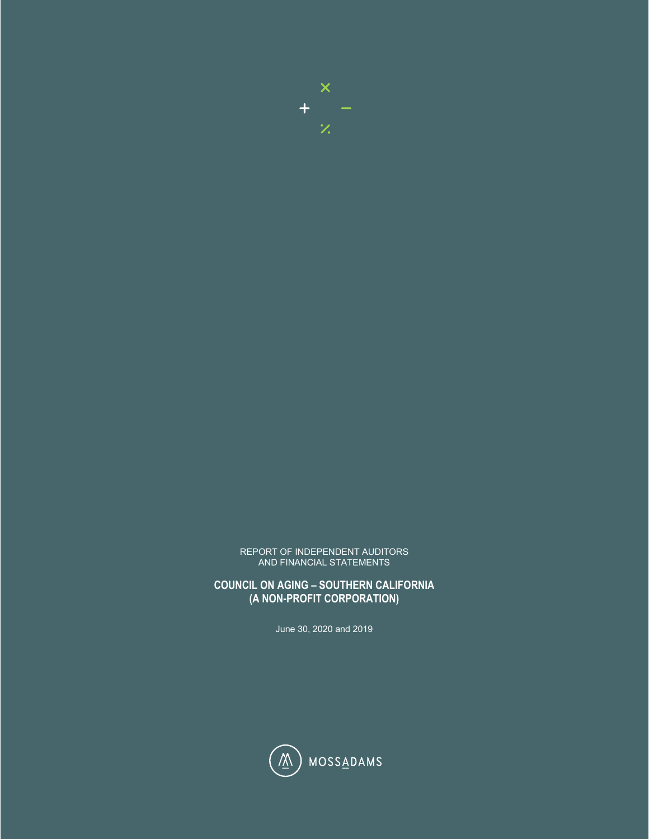

#### REPORT OF INDEPENDENT AUDITORS AND FINANCIAL STATEMENTS

**COUNCIL ON AGING – SOUTHERN CALIFORNIA (A NON-PROFIT CORPORATION)**

June 30, 2020 and 2019

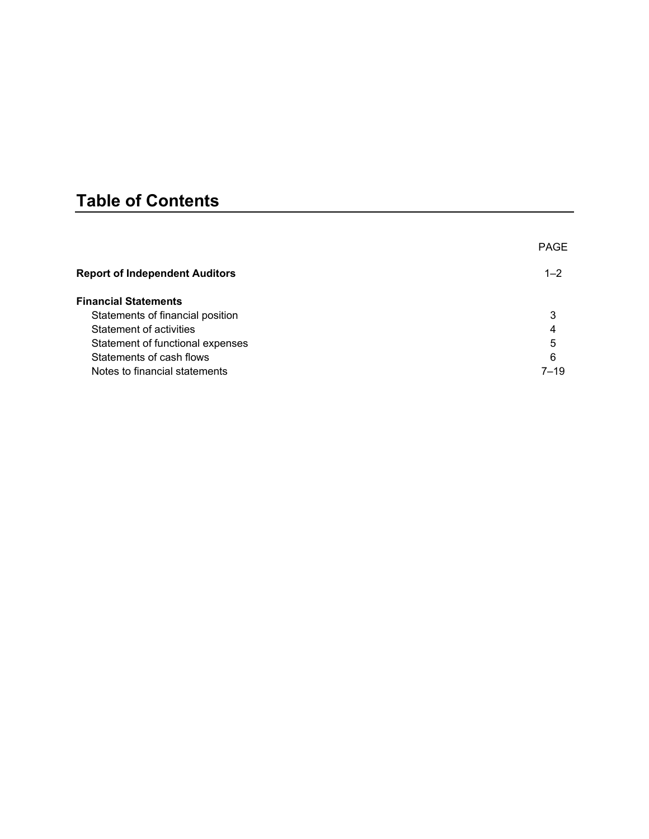# **Table of Contents**

|                                       | <b>PAGE</b> |
|---------------------------------------|-------------|
| <b>Report of Independent Auditors</b> | $1 - 2$     |
| <b>Financial Statements</b>           |             |
| Statements of financial position      | 3           |
| Statement of activities               | 4           |
| Statement of functional expenses      | 5           |
| Statements of cash flows              | 6           |
| Notes to financial statements         | $7 - 19$    |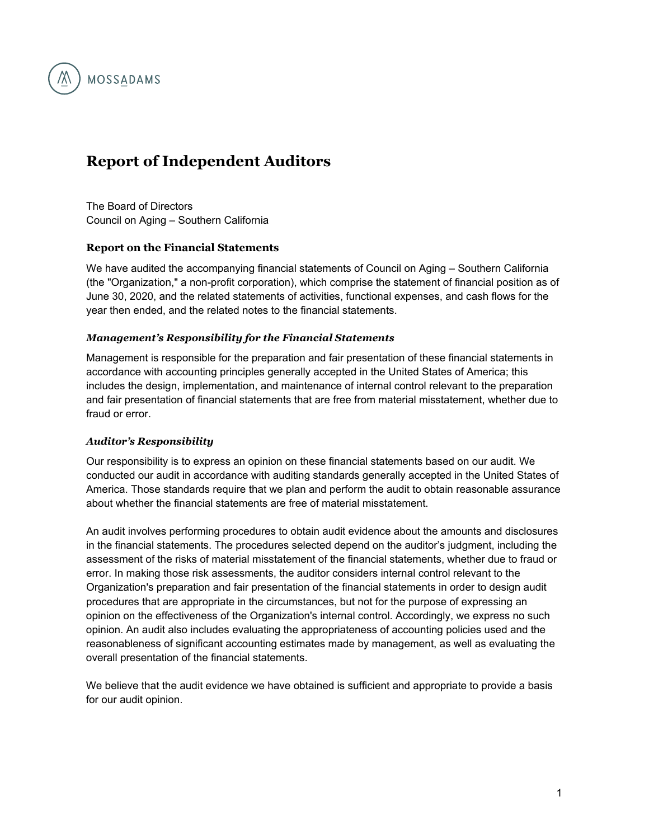

# **Report of Independent Auditors**

The Board of Directors Council on Aging – Southern California

#### **Report on the Financial Statements**

We have audited the accompanying financial statements of Council on Aging – Southern California (the "Organization," a non-profit corporation), which comprise the statement of financial position as of June 30, 2020, and the related statements of activities, functional expenses, and cash flows for the year then ended, and the related notes to the financial statements.

#### *Management's Responsibility for the Financial Statements*

Management is responsible for the preparation and fair presentation of these financial statements in accordance with accounting principles generally accepted in the United States of America; this includes the design, implementation, and maintenance of internal control relevant to the preparation and fair presentation of financial statements that are free from material misstatement, whether due to fraud or error.

#### *Auditor's Responsibility*

Our responsibility is to express an opinion on these financial statements based on our audit. We conducted our audit in accordance with auditing standards generally accepted in the United States of America. Those standards require that we plan and perform the audit to obtain reasonable assurance about whether the financial statements are free of material misstatement.

An audit involves performing procedures to obtain audit evidence about the amounts and disclosures in the financial statements. The procedures selected depend on the auditor's judgment, including the assessment of the risks of material misstatement of the financial statements, whether due to fraud or error. In making those risk assessments, the auditor considers internal control relevant to the Organization's preparation and fair presentation of the financial statements in order to design audit procedures that are appropriate in the circumstances, but not for the purpose of expressing an opinion on the effectiveness of the Organization's internal control. Accordingly, we express no such opinion. An audit also includes evaluating the appropriateness of accounting policies used and the reasonableness of significant accounting estimates made by management, as well as evaluating the overall presentation of the financial statements.

We believe that the audit evidence we have obtained is sufficient and appropriate to provide a basis for our audit opinion.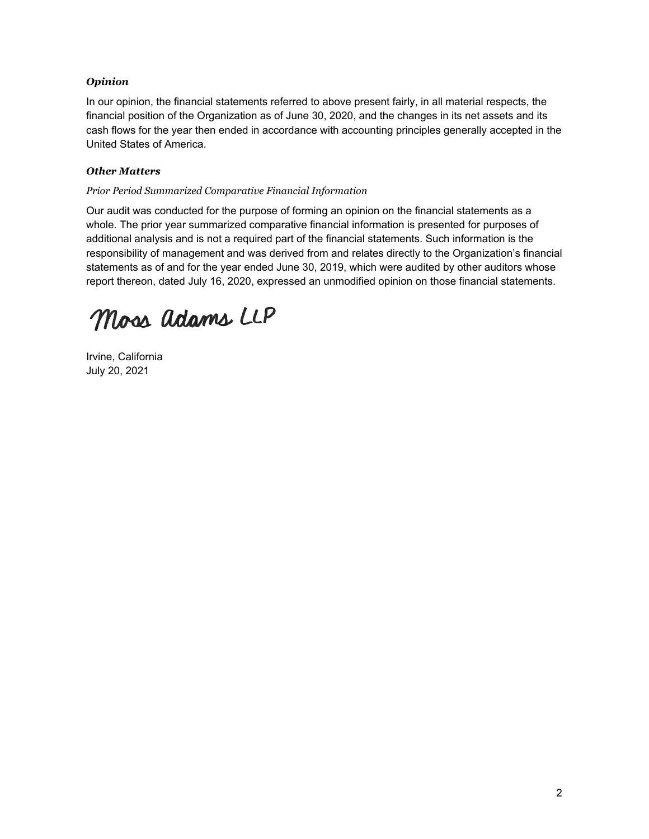#### *Opinion*

In our opinion, the financial statements referred to above present fairly, in all material respects, the financial position of the Organization as of June 30, 2020, and the changes in its net assets and its cash flows for the year then ended in accordance with accounting principles generally accepted in the United States of America.

#### *Other Matters*

#### *Prior Period Summarized Comparative Financial Information*

Our audit was conducted for the purpose of forming an opinion on the financial statements as a whole. The prior year summarized comparative financial information is presented for purposes of additional analysis and is not a required part of the financial statements. Such information is the responsibility of management and was derived from and relates directly to the Organization's financial statements as of and for the year ended June 30, 2019, which were audited by other auditors whose report thereon, dated July 16, 2020, expressed an unmodified opinion on those financial statements.

Moss adams LLP

Irvine, California July 20, 2021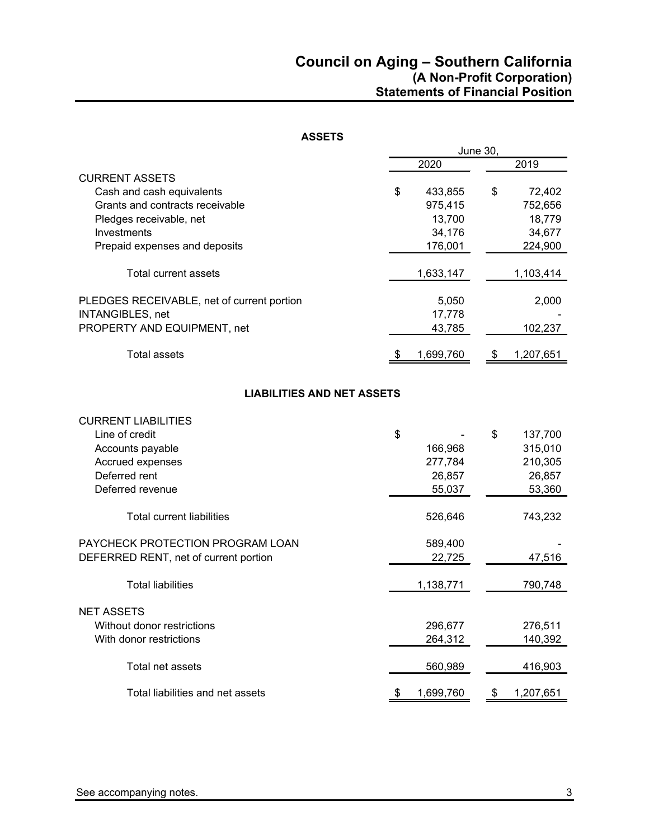| <b>ASSETS</b>                              |                 |    |           |  |
|--------------------------------------------|-----------------|----|-----------|--|
|                                            | <b>June 30,</b> |    |           |  |
|                                            | 2020            |    | 2019      |  |
| <b>CURRENT ASSETS</b>                      |                 |    |           |  |
| Cash and cash equivalents                  | \$<br>433,855   | \$ | 72,402    |  |
| Grants and contracts receivable            | 975,415         |    | 752,656   |  |
| Pledges receivable, net                    | 13,700          |    | 18,779    |  |
| Investments                                | 34,176          |    | 34,677    |  |
| Prepaid expenses and deposits              | 176,001         |    | 224,900   |  |
| <b>Total current assets</b>                | 1,633,147       |    | 1,103,414 |  |
| PLEDGES RECEIVABLE, net of current portion | 5,050           |    | 2,000     |  |
| <b>INTANGIBLES, net</b>                    | 17,778          |    |           |  |
| PROPERTY AND EQUIPMENT, net                | 43,785          |    | 102,237   |  |
| <b>Total assets</b>                        | \$<br>1,699,760 | \$ | 1,207,651 |  |
| <b>LIABILITIES AND NET ASSETS</b>          |                 |    |           |  |
| <b>CURRENT LIABILITIES</b>                 |                 |    |           |  |
| Line of credit                             | \$              | \$ | 137,700   |  |
| Accounts payable                           | 166,968         |    | 315,010   |  |
| Accrued expenses                           | 277,784         |    | 210,305   |  |
| Deferred rent                              | 26,857          |    | 26,857    |  |
| Deferred revenue                           | 55,037          |    | 53,360    |  |
| <b>Total current liabilities</b>           | 526,646         |    | 743,232   |  |
| PAYCHECK PROTECTION PROGRAM LOAN           | 589,400         |    |           |  |
| DEFERRED RENT, net of current portion      | 22,725          |    | 47,516    |  |
| <b>Total liabilities</b>                   | 1,138,771       |    | 790,748   |  |
| <b>NET ASSETS</b>                          |                 |    |           |  |
| Without donor restrictions                 | 296,677         |    | 276,511   |  |
| With donor restrictions                    | 264,312         |    | 140,392   |  |
| Total net assets                           | 560,989         |    | 416,903   |  |
| Total liabilities and net assets           | \$<br>1,699,760 | \$ | 1,207,651 |  |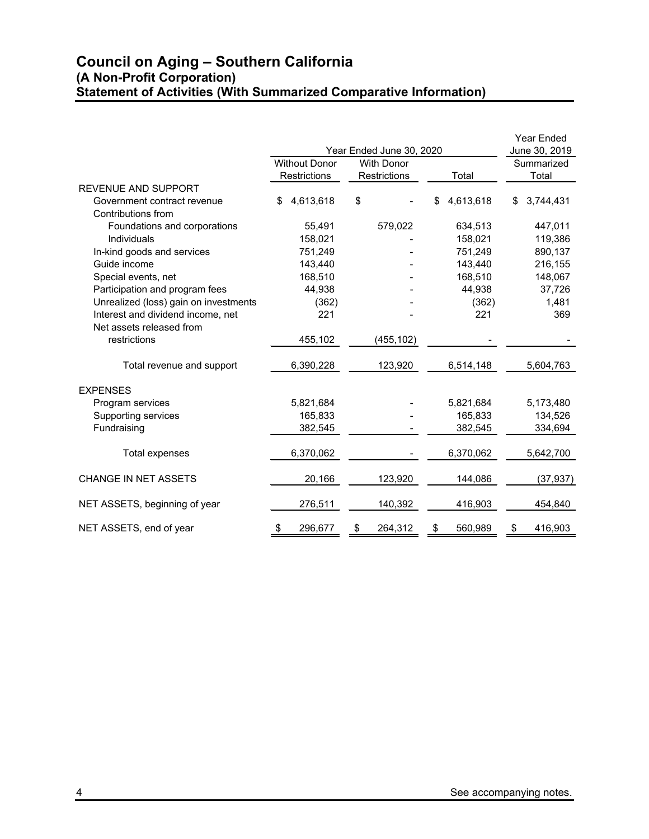# **Council on Aging – Southern California (A Non-Profit Corporation) Statement of Activities (With Summarized Comparative Information)**

|                                       |                      |                          |               | <b>Year Ended</b> |
|---------------------------------------|----------------------|--------------------------|---------------|-------------------|
|                                       |                      | Year Ended June 30, 2020 |               | June 30, 2019     |
|                                       | <b>Without Donor</b> | <b>With Donor</b>        |               | Summarized        |
|                                       | <b>Restrictions</b>  | <b>Restrictions</b>      | Total         | Total             |
| <b>REVENUE AND SUPPORT</b>            |                      |                          |               |                   |
| Government contract revenue           | \$<br>4,613,618      | \$                       | 4,613,618     | 3,744,431<br>\$   |
| Contributions from                    |                      |                          |               |                   |
| Foundations and corporations          | 55,491               | 579,022                  | 634,513       | 447,011           |
| Individuals                           | 158,021              |                          | 158,021       | 119,386           |
| In-kind goods and services            | 751,249              |                          | 751,249       | 890,137           |
| Guide income                          | 143,440              |                          | 143,440       | 216,155           |
| Special events, net                   | 168,510              |                          | 168,510       | 148,067           |
| Participation and program fees        | 44,938               |                          | 44,938        | 37,726            |
| Unrealized (loss) gain on investments | (362)                |                          | (362)         | 1,481             |
| Interest and dividend income, net     | 221                  |                          | 221           | 369               |
| Net assets released from              |                      |                          |               |                   |
| restrictions                          | 455,102              | (455, 102)               |               |                   |
| Total revenue and support             | 6,390,228            | 123,920                  | 6,514,148     | 5,604,763         |
| <b>EXPENSES</b>                       |                      |                          |               |                   |
| Program services                      | 5,821,684            |                          | 5,821,684     | 5,173,480         |
| Supporting services                   | 165,833              |                          | 165,833       | 134,526           |
| Fundraising                           | 382,545              |                          | 382,545       | 334,694           |
| Total expenses                        | 6,370,062            |                          | 6,370,062     | 5,642,700         |
| <b>CHANGE IN NET ASSETS</b>           | 20,166               | 123,920                  | 144,086       | (37, 937)         |
| NET ASSETS, beginning of year         | 276,511              | 140,392                  | 416,903       | 454,840           |
| NET ASSETS, end of year               | 296,677<br>\$        | 264,312<br>\$            | 560,989<br>\$ | 416,903<br>\$     |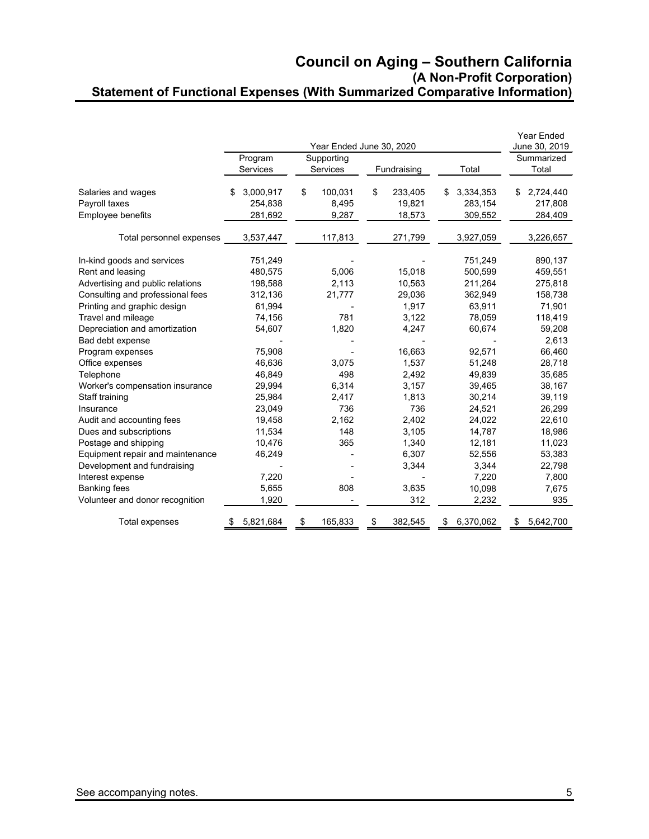### **Council on Aging – Southern California (A Non-Profit Corporation) Statement of Functional Expenses (With Summarized Comparative Information)**

|                                  |                 |               |                          |                 | <b>Year Ended</b> |
|----------------------------------|-----------------|---------------|--------------------------|-----------------|-------------------|
|                                  |                 |               | Year Ended June 30, 2020 |                 | June 30, 2019     |
|                                  | Program         | Supporting    |                          |                 | Summarized        |
|                                  | Services        | Services      | Fundraising              | Total           | Total             |
| Salaries and wages               | 3,000,917<br>\$ | \$<br>100,031 | \$<br>233,405            | 3,334,353<br>\$ | 2,724,440<br>\$   |
| Payroll taxes                    | 254,838         | 8,495         | 19,821                   | 283,154         | 217,808           |
| Employee benefits                | 281,692         | 9,287         | 18,573                   | 309,552         | 284,409           |
| Total personnel expenses         | 3,537,447       | 117,813       | 271,799                  | 3,927,059       | 3,226,657         |
| In-kind goods and services       | 751,249         |               |                          | 751,249         | 890,137           |
| Rent and leasing                 | 480,575         | 5.006         | 15.018                   | 500.599         | 459,551           |
| Advertising and public relations | 198,588         | 2,113         | 10,563                   | 211,264         | 275,818           |
| Consulting and professional fees | 312,136         | 21,777        | 29,036                   | 362,949         | 158,738           |
| Printing and graphic design      | 61,994          |               | 1,917                    | 63,911          | 71,901            |
| Travel and mileage               | 74,156          | 781           | 3,122                    | 78,059          | 118,419           |
| Depreciation and amortization    | 54,607          | 1,820         | 4,247                    | 60,674          | 59,208            |
| Bad debt expense                 |                 |               |                          |                 | 2,613             |
| Program expenses                 | 75,908          |               | 16,663                   | 92,571          | 66,460            |
| Office expenses                  | 46.636          | 3,075         | 1,537                    | 51,248          | 28,718            |
| Telephone                        | 46.849          | 498           | 2,492                    | 49,839          | 35,685            |
| Worker's compensation insurance  | 29,994          | 6,314         | 3,157                    | 39,465          | 38,167            |
| Staff training                   | 25,984          | 2,417         | 1,813                    | 30,214          | 39,119            |
| Insurance                        | 23,049          | 736           | 736                      | 24,521          | 26,299            |
| Audit and accounting fees        | 19,458          | 2,162         | 2,402                    | 24,022          | 22,610            |
| Dues and subscriptions           | 11,534          | 148           | 3,105                    | 14,787          | 18,986            |
| Postage and shipping             | 10,476          | 365           | 1,340                    | 12,181          | 11,023            |
| Equipment repair and maintenance | 46,249          |               | 6,307                    | 52,556          | 53,383            |
| Development and fundraising      |                 |               | 3,344                    | 3,344           | 22,798            |
| Interest expense                 | 7,220           |               |                          | 7,220           | 7,800             |
| <b>Banking fees</b>              | 5,655           | 808           | 3,635                    | 10,098          | 7,675             |
| Volunteer and donor recognition  | 1,920           |               | 312                      | 2,232           | 935               |
| Total expenses                   | 5,821,684       | \$<br>165,833 | \$<br>382,545            | 6,370,062<br>\$ | 5,642,700<br>\$   |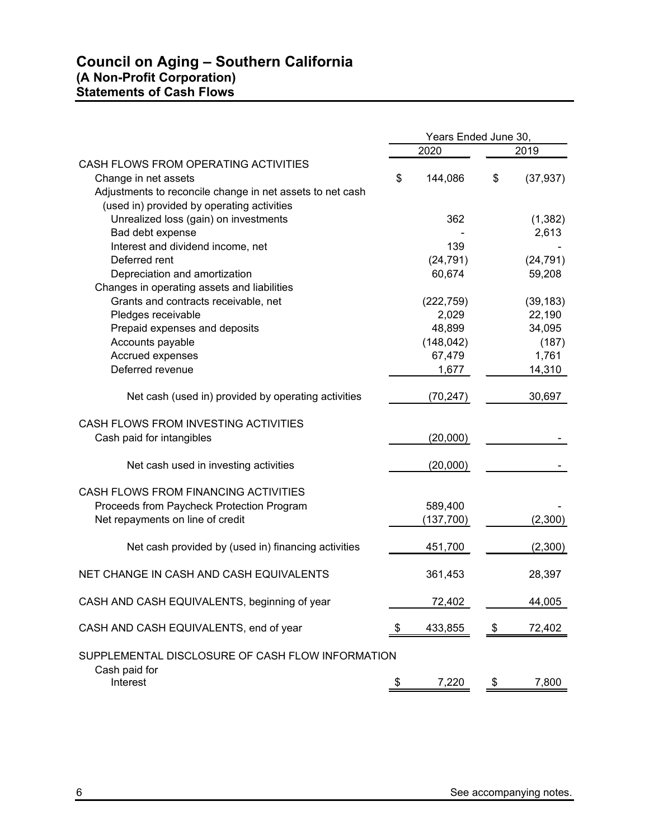# **Council on Aging – Southern California (A Non-Profit Corporation) Statements of Cash Flows**

|                                                           | Years Ended June 30, |            |    |           |
|-----------------------------------------------------------|----------------------|------------|----|-----------|
|                                                           |                      | 2020       |    | 2019      |
| CASH FLOWS FROM OPERATING ACTIVITIES                      |                      |            |    |           |
| Change in net assets                                      | \$                   | 144,086    | \$ | (37, 937) |
| Adjustments to reconcile change in net assets to net cash |                      |            |    |           |
| (used in) provided by operating activities                |                      |            |    |           |
| Unrealized loss (gain) on investments                     |                      | 362        |    | (1, 382)  |
| Bad debt expense                                          |                      |            |    | 2,613     |
| Interest and dividend income, net                         |                      | 139        |    |           |
| Deferred rent                                             |                      | (24, 791)  |    | (24, 791) |
| Depreciation and amortization                             |                      | 60,674     |    | 59,208    |
| Changes in operating assets and liabilities               |                      |            |    |           |
| Grants and contracts receivable, net                      |                      | (222, 759) |    | (39, 183) |
| Pledges receivable                                        |                      | 2,029      |    | 22,190    |
| Prepaid expenses and deposits                             |                      | 48,899     |    | 34,095    |
| Accounts payable                                          |                      | (148, 042) |    | (187)     |
| Accrued expenses                                          |                      | 67,479     |    | 1,761     |
| Deferred revenue                                          |                      | 1,677      |    | 14,310    |
| Net cash (used in) provided by operating activities       |                      | (70, 247)  |    | 30,697    |
| CASH FLOWS FROM INVESTING ACTIVITIES                      |                      |            |    |           |
| Cash paid for intangibles                                 |                      | (20,000)   |    |           |
| Net cash used in investing activities                     |                      | (20,000)   |    |           |
| CASH FLOWS FROM FINANCING ACTIVITIES                      |                      |            |    |           |
| Proceeds from Paycheck Protection Program                 |                      | 589,400    |    |           |
| Net repayments on line of credit                          |                      | (137, 700) |    | (2,300)   |
| Net cash provided by (used in) financing activities       |                      | 451,700    |    | (2,300)   |
| NET CHANGE IN CASH AND CASH EQUIVALENTS                   |                      | 361,453    |    | 28,397    |
| CASH AND CASH EQUIVALENTS, beginning of year              |                      | 72,402     |    | 44,005    |
| CASH AND CASH EQUIVALENTS, end of year                    | S                    | 433,855    | \$ | 72,402    |
| SUPPLEMENTAL DISCLOSURE OF CASH FLOW INFORMATION          |                      |            |    |           |
| Cash paid for<br>Interest                                 |                      | 7,220      | \$ | 7,800     |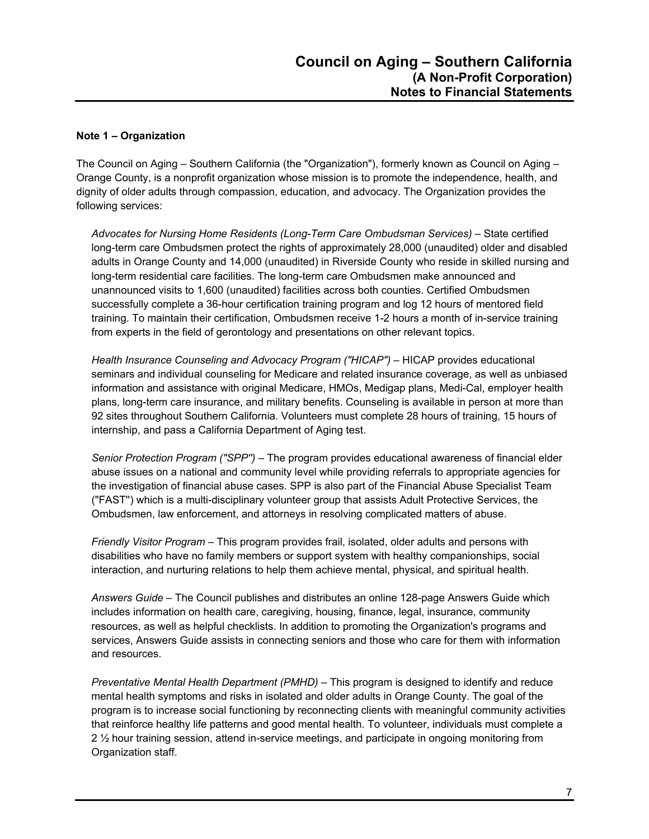#### **Note 1 – Organization**

The Council on Aging – Southern California (the "Organization"), formerly known as Council on Aging – Orange County, is a nonprofit organization whose mission is to promote the independence, health, and dignity of older adults through compassion, education, and advocacy. The Organization provides the following services:

*Advocates for Nursing Home Residents (Long-Term Care Ombudsman Services)* – State certified long-term care Ombudsmen protect the rights of approximately 28,000 (unaudited) older and disabled adults in Orange County and 14,000 (unaudited) in Riverside County who reside in skilled nursing and long-term residential care facilities. The long-term care Ombudsmen make announced and unannounced visits to 1,600 (unaudited) facilities across both counties. Certified Ombudsmen successfully complete a 36-hour certification training program and log 12 hours of mentored field training. To maintain their certification, Ombudsmen receive 1-2 hours a month of in-service training from experts in the field of gerontology and presentations on other relevant topics.

*Health Insurance Counseling and Advocacy Program ("HICAP")* – HICAP provides educational seminars and individual counseling for Medicare and related insurance coverage, as well as unbiased information and assistance with original Medicare, HMOs, Medigap plans, Medi-Cal, employer health plans, long-term care insurance, and military benefits. Counseling is available in person at more than 92 sites throughout Southern California. Volunteers must complete 28 hours of training, 15 hours of internship, and pass a California Department of Aging test.

*Senior Protection Program ("SPP'')* – The program provides educational awareness of financial elder abuse issues on a national and community level while providing referrals to appropriate agencies for the investigation of financial abuse cases. SPP is also part of the Financial Abuse Specialist Team ("FAST'') which is a multi-disciplinary volunteer group that assists Adult Protective Services, the Ombudsmen, law enforcement, and attorneys in resolving complicated matters of abuse.

*Friendly Visitor Program* – This program provides frail, isolated, older adults and persons with disabilities who have no family members or support system with healthy companionships, social interaction, and nurturing relations to help them achieve mental, physical, and spiritual health.

*Answers Guide* – The Council publishes and distributes an online 128-page Answers Guide which includes information on health care, caregiving, housing, finance, legal, insurance, community resources, as well as helpful checklists. In addition to promoting the Organization's programs and services, Answers Guide assists in connecting seniors and those who care for them with information and resources.

*Preventative Mental Health Department (PMHD)* – This program is designed to identify and reduce mental health symptoms and risks in isolated and older adults in Orange County. The goal of the program is to increase social functioning by reconnecting clients with meaningful community activities that reinforce healthy life patterns and good mental health. To volunteer, individuals must complete a 2 ½ hour training session, attend in-service meetings, and participate in ongoing monitoring from Organization staff.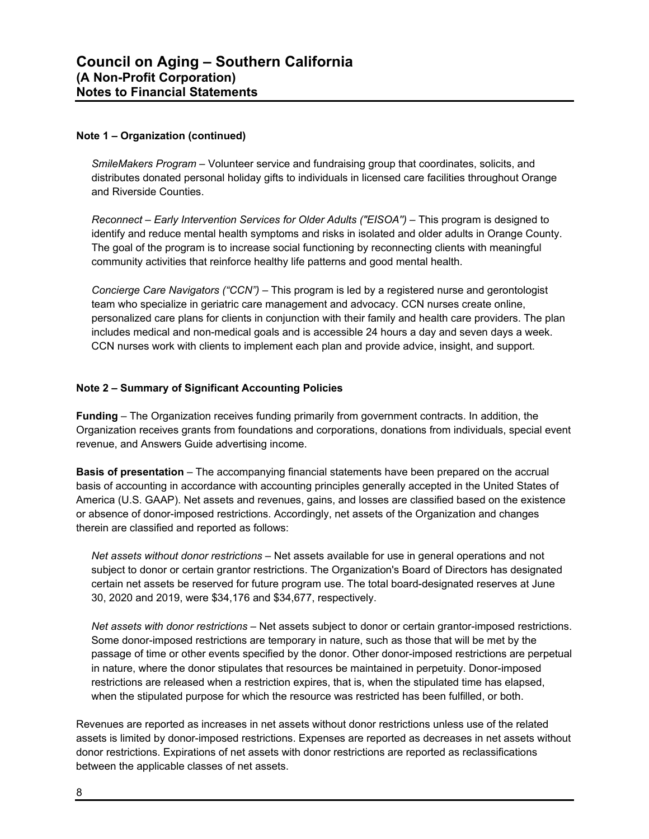#### **Note 1 – Organization (continued)**

*SmileMakers Program* – Volunteer service and fundraising group that coordinates, solicits, and distributes donated personal holiday gifts to individuals in licensed care facilities throughout Orange and Riverside Counties.

*Reconnect – Early Intervention Services for Older Adults ("EISOA'')* – This program is designed to identify and reduce mental health symptoms and risks in isolated and older adults in Orange County. The goal of the program is to increase social functioning by reconnecting clients with meaningful community activities that reinforce healthy life patterns and good mental health.

*Concierge Care Navigators ("CCN")* – This program is led by a registered nurse and gerontologist team who specialize in geriatric care management and advocacy. CCN nurses create online, personalized care plans for clients in conjunction with their family and health care providers. The plan includes medical and non-medical goals and is accessible 24 hours a day and seven days a week. CCN nurses work with clients to implement each plan and provide advice, insight, and support.

#### **Note 2 – Summary of Significant Accounting Policies**

**Funding** – The Organization receives funding primarily from government contracts. In addition, the Organization receives grants from foundations and corporations, donations from individuals, special event revenue, and Answers Guide advertising income.

**Basis of presentation** – The accompanying financial statements have been prepared on the accrual basis of accounting in accordance with accounting principles generally accepted in the United States of America (U.S. GAAP). Net assets and revenues, gains, and losses are classified based on the existence or absence of donor-imposed restrictions. Accordingly, net assets of the Organization and changes therein are classified and reported as follows:

*Net assets without donor restrictions* – Net assets available for use in general operations and not subject to donor or certain grantor restrictions. The Organization's Board of Directors has designated certain net assets be reserved for future program use. The total board-designated reserves at June 30, 2020 and 2019, were \$34,176 and \$34,677, respectively.

*Net assets with donor restrictions* – Net assets subject to donor or certain grantor-imposed restrictions. Some donor-imposed restrictions are temporary in nature, such as those that will be met by the passage of time or other events specified by the donor. Other donor-imposed restrictions are perpetual in nature, where the donor stipulates that resources be maintained in perpetuity. Donor-imposed restrictions are released when a restriction expires, that is, when the stipulated time has elapsed, when the stipulated purpose for which the resource was restricted has been fulfilled, or both.

Revenues are reported as increases in net assets without donor restrictions unless use of the related assets is limited by donor-imposed restrictions. Expenses are reported as decreases in net assets without donor restrictions. Expirations of net assets with donor restrictions are reported as reclassifications between the applicable classes of net assets.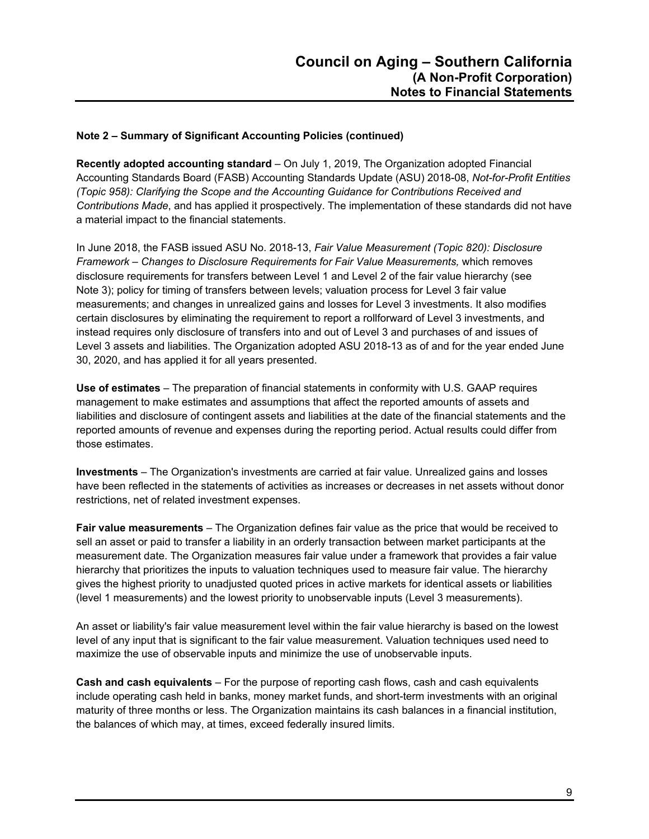**Recently adopted accounting standard** – On July 1, 2019, The Organization adopted Financial Accounting Standards Board (FASB) Accounting Standards Update (ASU) 2018-08, *Not-for-Profit Entities (Topic 958): Clarifying the Scope and the Accounting Guidance for Contributions Received and Contributions Made*, and has applied it prospectively. The implementation of these standards did not have a material impact to the financial statements.

In June 2018, the FASB issued ASU No. 2018-13, *Fair Value Measurement (Topic 820): Disclosure Framework – Changes to Disclosure Requirements for Fair Value Measurements,* which removes disclosure requirements for transfers between Level 1 and Level 2 of the fair value hierarchy (see Note 3); policy for timing of transfers between levels; valuation process for Level 3 fair value measurements; and changes in unrealized gains and losses for Level 3 investments. It also modifies certain disclosures by eliminating the requirement to report a rollforward of Level 3 investments, and instead requires only disclosure of transfers into and out of Level 3 and purchases of and issues of Level 3 assets and liabilities. The Organization adopted ASU 2018-13 as of and for the year ended June 30, 2020, and has applied it for all years presented.

**Use of estimates** – The preparation of financial statements in conformity with U.S. GAAP requires management to make estimates and assumptions that affect the reported amounts of assets and liabilities and disclosure of contingent assets and liabilities at the date of the financial statements and the reported amounts of revenue and expenses during the reporting period. Actual results could differ from those estimates.

**Investments** – The Organization's investments are carried at fair value. Unrealized gains and losses have been reflected in the statements of activities as increases or decreases in net assets without donor restrictions, net of related investment expenses.

**Fair value measurements** – The Organization defines fair value as the price that would be received to sell an asset or paid to transfer a liability in an orderly transaction between market participants at the measurement date. The Organization measures fair value under a framework that provides a fair value hierarchy that prioritizes the inputs to valuation techniques used to measure fair value. The hierarchy gives the highest priority to unadjusted quoted prices in active markets for identical assets or liabilities (level 1 measurements) and the lowest priority to unobservable inputs (Level 3 measurements).

An asset or liability's fair value measurement level within the fair value hierarchy is based on the lowest level of any input that is significant to the fair value measurement. Valuation techniques used need to maximize the use of observable inputs and minimize the use of unobservable inputs.

**Cash and cash equivalents** – For the purpose of reporting cash flows, cash and cash equivalents include operating cash held in banks, money market funds, and short-term investments with an original maturity of three months or less. The Organization maintains its cash balances in a financial institution, the balances of which may, at times, exceed federally insured limits.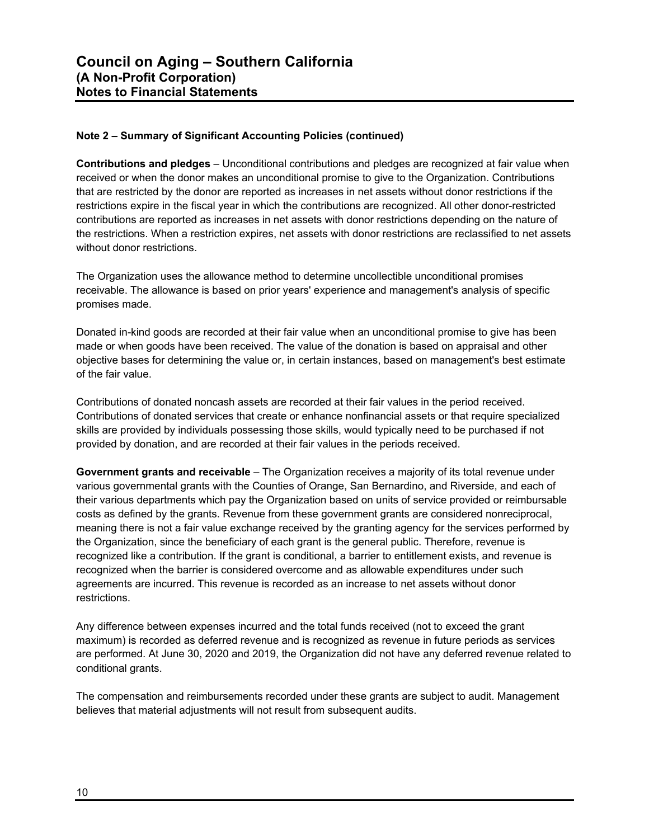**Contributions and pledges** – Unconditional contributions and pledges are recognized at fair value when received or when the donor makes an unconditional promise to give to the Organization. Contributions that are restricted by the donor are reported as increases in net assets without donor restrictions if the restrictions expire in the fiscal year in which the contributions are recognized. All other donor-restricted contributions are reported as increases in net assets with donor restrictions depending on the nature of the restrictions. When a restriction expires, net assets with donor restrictions are reclassified to net assets without donor restrictions.

The Organization uses the allowance method to determine uncollectible unconditional promises receivable. The allowance is based on prior years' experience and management's analysis of specific promises made.

Donated in-kind goods are recorded at their fair value when an unconditional promise to give has been made or when goods have been received. The value of the donation is based on appraisal and other objective bases for determining the value or, in certain instances, based on management's best estimate of the fair value.

Contributions of donated noncash assets are recorded at their fair values in the period received. Contributions of donated services that create or enhance nonfinancial assets or that require specialized skills are provided by individuals possessing those skills, would typically need to be purchased if not provided by donation, and are recorded at their fair values in the periods received.

**Government grants and receivable** – The Organization receives a majority of its total revenue under various governmental grants with the Counties of Orange, San Bernardino, and Riverside, and each of their various departments which pay the Organization based on units of service provided or reimbursable costs as defined by the grants. Revenue from these government grants are considered nonreciprocal, meaning there is not a fair value exchange received by the granting agency for the services performed by the Organization, since the beneficiary of each grant is the general public. Therefore, revenue is recognized like a contribution. If the grant is conditional, a barrier to entitlement exists, and revenue is recognized when the barrier is considered overcome and as allowable expenditures under such agreements are incurred. This revenue is recorded as an increase to net assets without donor restrictions.

Any difference between expenses incurred and the total funds received (not to exceed the grant maximum) is recorded as deferred revenue and is recognized as revenue in future periods as services are performed. At June 30, 2020 and 2019, the Organization did not have any deferred revenue related to conditional grants.

The compensation and reimbursements recorded under these grants are subject to audit. Management believes that material adjustments will not result from subsequent audits.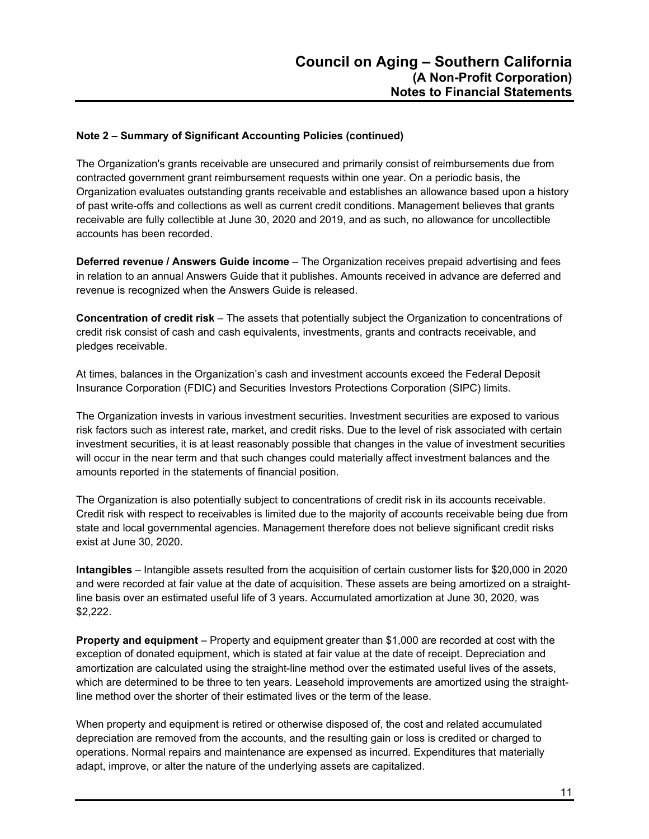The Organization's grants receivable are unsecured and primarily consist of reimbursements due from contracted government grant reimbursement requests within one year. On a periodic basis, the Organization evaluates outstanding grants receivable and establishes an allowance based upon a history of past write-offs and collections as well as current credit conditions. Management believes that grants receivable are fully collectible at June 30, 2020 and 2019, and as such, no allowance for uncollectible accounts has been recorded.

**Deferred revenue / Answers Guide income** – The Organization receives prepaid advertising and fees in relation to an annual Answers Guide that it publishes. Amounts received in advance are deferred and revenue is recognized when the Answers Guide is released.

**Concentration of credit risk** – The assets that potentially subject the Organization to concentrations of credit risk consist of cash and cash equivalents, investments, grants and contracts receivable, and pledges receivable.

At times, balances in the Organization's cash and investment accounts exceed the Federal Deposit Insurance Corporation (FDIC) and Securities Investors Protections Corporation (SIPC) limits.

The Organization invests in various investment securities. Investment securities are exposed to various risk factors such as interest rate, market, and credit risks. Due to the level of risk associated with certain investment securities, it is at least reasonably possible that changes in the value of investment securities will occur in the near term and that such changes could materially affect investment balances and the amounts reported in the statements of financial position.

The Organization is also potentially subject to concentrations of credit risk in its accounts receivable. Credit risk with respect to receivables is limited due to the majority of accounts receivable being due from state and local governmental agencies. Management therefore does not believe significant credit risks exist at June 30, 2020.

**Intangibles** – Intangible assets resulted from the acquisition of certain customer lists for \$20,000 in 2020 and were recorded at fair value at the date of acquisition. These assets are being amortized on a straightline basis over an estimated useful life of 3 years. Accumulated amortization at June 30, 2020, was \$2,222.

**Property and equipment** – Property and equipment greater than \$1,000 are recorded at cost with the exception of donated equipment, which is stated at fair value at the date of receipt. Depreciation and amortization are calculated using the straight-line method over the estimated useful lives of the assets, which are determined to be three to ten years. Leasehold improvements are amortized using the straightline method over the shorter of their estimated lives or the term of the lease.

When property and equipment is retired or otherwise disposed of, the cost and related accumulated depreciation are removed from the accounts, and the resulting gain or loss is credited or charged to operations. Normal repairs and maintenance are expensed as incurred. Expenditures that materially adapt, improve, or alter the nature of the underlying assets are capitalized.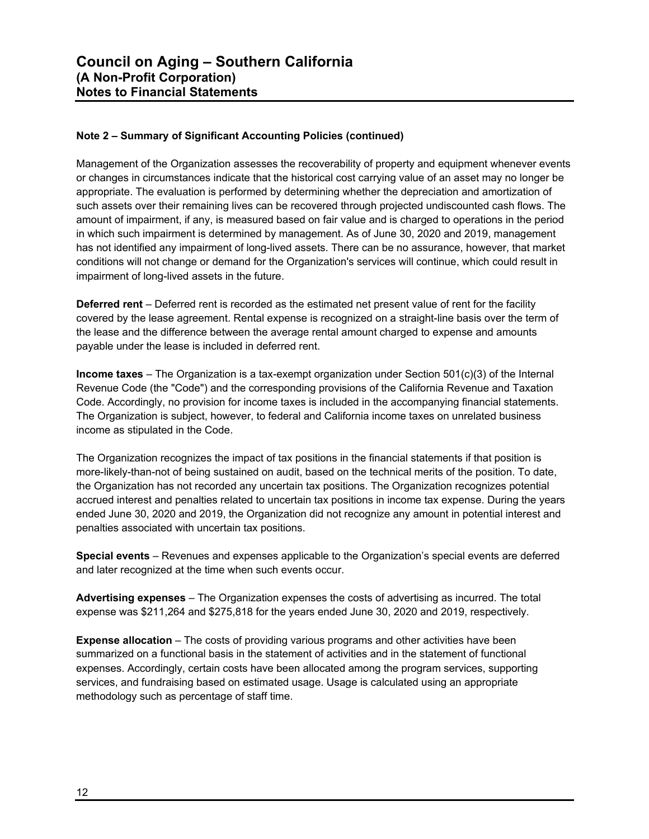Management of the Organization assesses the recoverability of property and equipment whenever events or changes in circumstances indicate that the historical cost carrying value of an asset may no longer be appropriate. The evaluation is performed by determining whether the depreciation and amortization of such assets over their remaining lives can be recovered through projected undiscounted cash flows. The amount of impairment, if any, is measured based on fair value and is charged to operations in the period in which such impairment is determined by management. As of June 30, 2020 and 2019, management has not identified any impairment of long-lived assets. There can be no assurance, however, that market conditions will not change or demand for the Organization's services will continue, which could result in impairment of long-lived assets in the future.

**Deferred rent** – Deferred rent is recorded as the estimated net present value of rent for the facility covered by the lease agreement. Rental expense is recognized on a straight-line basis over the term of the lease and the difference between the average rental amount charged to expense and amounts payable under the lease is included in deferred rent.

**Income taxes** – The Organization is a tax-exempt organization under Section 501(c)(3) of the Internal Revenue Code (the "Code") and the corresponding provisions of the California Revenue and Taxation Code. Accordingly, no provision for income taxes is included in the accompanying financial statements. The Organization is subject, however, to federal and California income taxes on unrelated business income as stipulated in the Code.

The Organization recognizes the impact of tax positions in the financial statements if that position is more-likely-than-not of being sustained on audit, based on the technical merits of the position. To date, the Organization has not recorded any uncertain tax positions. The Organization recognizes potential accrued interest and penalties related to uncertain tax positions in income tax expense. During the years ended June 30, 2020 and 2019, the Organization did not recognize any amount in potential interest and penalties associated with uncertain tax positions.

**Special events** – Revenues and expenses applicable to the Organization's special events are deferred and later recognized at the time when such events occur.

**Advertising expenses** – The Organization expenses the costs of advertising as incurred. The total expense was \$211,264 and \$275,818 for the years ended June 30, 2020 and 2019, respectively.

**Expense allocation** – The costs of providing various programs and other activities have been summarized on a functional basis in the statement of activities and in the statement of functional expenses. Accordingly, certain costs have been allocated among the program services, supporting services, and fundraising based on estimated usage. Usage is calculated using an appropriate methodology such as percentage of staff time.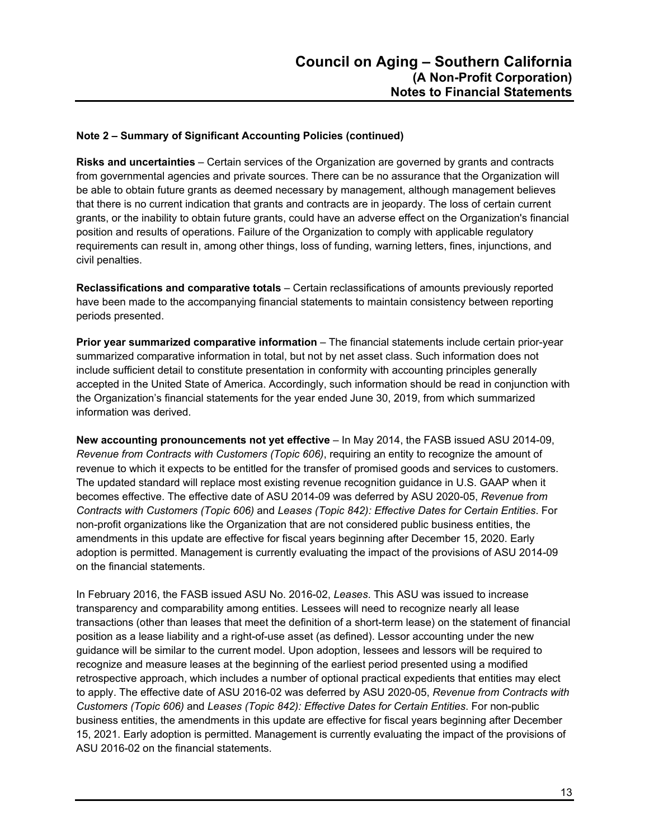**Risks and uncertainties** – Certain services of the Organization are governed by grants and contracts from governmental agencies and private sources. There can be no assurance that the Organization will be able to obtain future grants as deemed necessary by management, although management believes that there is no current indication that grants and contracts are in jeopardy. The loss of certain current grants, or the inability to obtain future grants, could have an adverse effect on the Organization's financial position and results of operations. Failure of the Organization to comply with applicable regulatory requirements can result in, among other things, loss of funding, warning letters, fines, injunctions, and civil penalties.

**Reclassifications and comparative totals** – Certain reclassifications of amounts previously reported have been made to the accompanying financial statements to maintain consistency between reporting periods presented.

**Prior year summarized comparative information** – The financial statements include certain prior-year summarized comparative information in total, but not by net asset class. Such information does not include sufficient detail to constitute presentation in conformity with accounting principles generally accepted in the United State of America. Accordingly, such information should be read in conjunction with the Organization's financial statements for the year ended June 30, 2019, from which summarized information was derived.

**New accounting pronouncements not yet effective** – In May 2014, the FASB issued ASU 2014-09, *Revenue from Contracts with Customers (Topic 606)*, requiring an entity to recognize the amount of revenue to which it expects to be entitled for the transfer of promised goods and services to customers. The updated standard will replace most existing revenue recognition guidance in U.S. GAAP when it becomes effective. The effective date of ASU 2014-09 was deferred by ASU 2020-05, *Revenue from Contracts with Customers (Topic 606)* and *Leases (Topic 842): Effective Dates for Certain Entities*. For non-profit organizations like the Organization that are not considered public business entities, the amendments in this update are effective for fiscal years beginning after December 15, 2020. Early adoption is permitted. Management is currently evaluating the impact of the provisions of ASU 2014-09 on the financial statements.

In February 2016, the FASB issued ASU No. 2016-02, *Leases*. This ASU was issued to increase transparency and comparability among entities. Lessees will need to recognize nearly all lease transactions (other than leases that meet the definition of a short-term lease) on the statement of financial position as a lease liability and a right-of-use asset (as defined). Lessor accounting under the new guidance will be similar to the current model. Upon adoption, lessees and lessors will be required to recognize and measure leases at the beginning of the earliest period presented using a modified retrospective approach, which includes a number of optional practical expedients that entities may elect to apply. The effective date of ASU 2016-02 was deferred by ASU 2020-05, *Revenue from Contracts with Customers (Topic 606)* and *Leases (Topic 842): Effective Dates for Certain Entities*. For non-public business entities, the amendments in this update are effective for fiscal years beginning after December 15, 2021. Early adoption is permitted. Management is currently evaluating the impact of the provisions of ASU 2016-02 on the financial statements.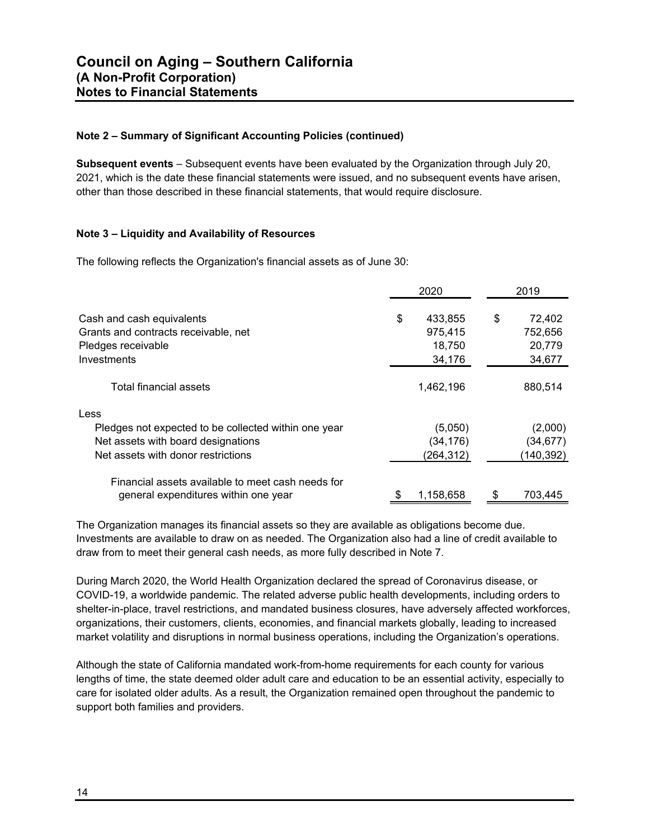**Subsequent events** – Subsequent events have been evaluated by the Organization through July 20, 2021, which is the date these financial statements were issued, and no subsequent events have arisen, other than those described in these financial statements, that would require disclosure.

#### **Note 3 – Liquidity and Availability of Resources**

The following reflects the Organization's financial assets as of June 30:

|                                                      |    | 2020       | 2019         |  |
|------------------------------------------------------|----|------------|--------------|--|
| Cash and cash equivalents                            | \$ | 433,855    | \$<br>72,402 |  |
| Grants and contracts receivable, net                 |    | 975,415    | 752,656      |  |
| Pledges receivable                                   |    | 18,750     | 20,779       |  |
| Investments                                          |    | 34,176     | 34,677       |  |
| Total financial assets                               |    | 1,462,196  | 880,514      |  |
| Less                                                 |    |            |              |  |
| Pledges not expected to be collected within one year |    | (5,050)    | (2,000)      |  |
| Net assets with board designations                   |    | (34,176)   | (34,677)     |  |
| Net assets with donor restrictions                   |    | (264, 312) | (140, 392)   |  |
| Financial assets available to meet cash needs for    |    |            |              |  |
| general expenditures within one year                 |    | 1,158,658  | 703,445      |  |

The Organization manages its financial assets so they are available as obligations become due. Investments are available to draw on as needed. The Organization also had a line of credit available to draw from to meet their general cash needs, as more fully described in Note 7.

During March 2020, the World Health Organization declared the spread of Coronavirus disease, or COVID-19, a worldwide pandemic. The related adverse public health developments, including orders to shelter-in-place, travel restrictions, and mandated business closures, have adversely affected workforces, organizations, their customers, clients, economies, and financial markets globally, leading to increased market volatility and disruptions in normal business operations, including the Organization's operations.

Although the state of California mandated work-from-home requirements for each county for various lengths of time, the state deemed older adult care and education to be an essential activity, especially to care for isolated older adults. As a result, the Organization remained open throughout the pandemic to support both families and providers.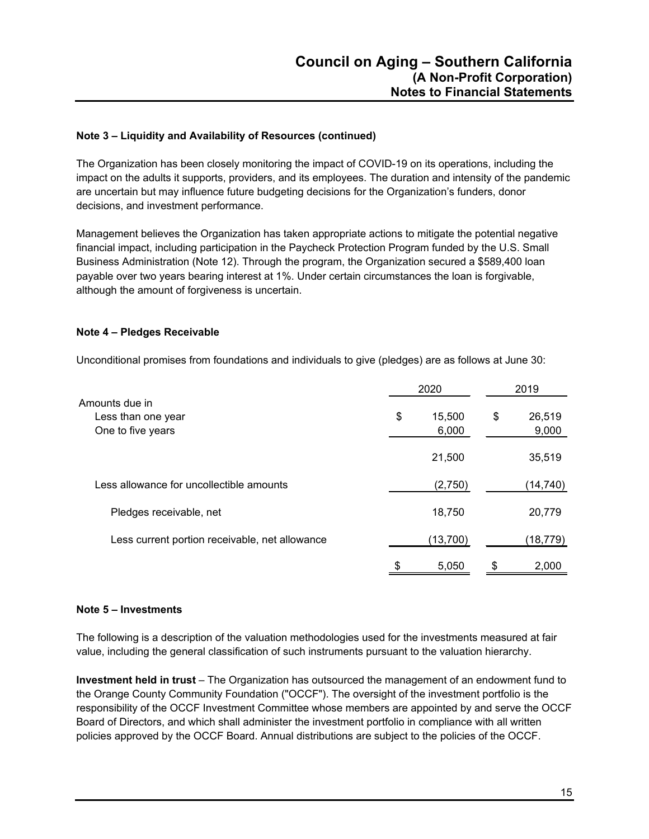#### **Note 3 – Liquidity and Availability of Resources (continued)**

The Organization has been closely monitoring the impact of COVID-19 on its operations, including the impact on the adults it supports, providers, and its employees. The duration and intensity of the pandemic are uncertain but may influence future budgeting decisions for the Organization's funders, donor decisions, and investment performance.

Management believes the Organization has taken appropriate actions to mitigate the potential negative financial impact, including participation in the Paycheck Protection Program funded by the U.S. Small Business Administration (Note 12). Through the program, the Organization secured a \$589,400 loan payable over two years bearing interest at 1%. Under certain circumstances the loan is forgivable, although the amount of forgiveness is uncertain.

#### **Note 4 – Pledges Receivable**

Unconditional promises from foundations and individuals to give (pledges) are as follows at June 30:

| Amounts due in<br>\$<br>Less than one year<br>One to five years |    | 2020            |    | 2019            |  |
|-----------------------------------------------------------------|----|-----------------|----|-----------------|--|
|                                                                 |    | 15,500<br>6,000 | \$ | 26,519<br>9,000 |  |
|                                                                 |    | 21,500          |    | 35,519          |  |
| Less allowance for uncollectible amounts                        |    | (2,750)         |    | (14,740)        |  |
| Pledges receivable, net                                         |    | 18,750          |    | 20,779          |  |
| Less current portion receivable, net allowance                  |    | (13, 700)       |    | (18, 779)       |  |
|                                                                 | \$ | 5,050           | \$ | 2,000           |  |

#### **Note 5 – Investments**

The following is a description of the valuation methodologies used for the investments measured at fair value, including the general classification of such instruments pursuant to the valuation hierarchy.

**Investment held in trust** – The Organization has outsourced the management of an endowment fund to the Orange County Community Foundation ("OCCF"). The oversight of the investment portfolio is the responsibility of the OCCF Investment Committee whose members are appointed by and serve the OCCF Board of Directors, and which shall administer the investment portfolio in compliance with all written policies approved by the OCCF Board. Annual distributions are subject to the policies of the OCCF.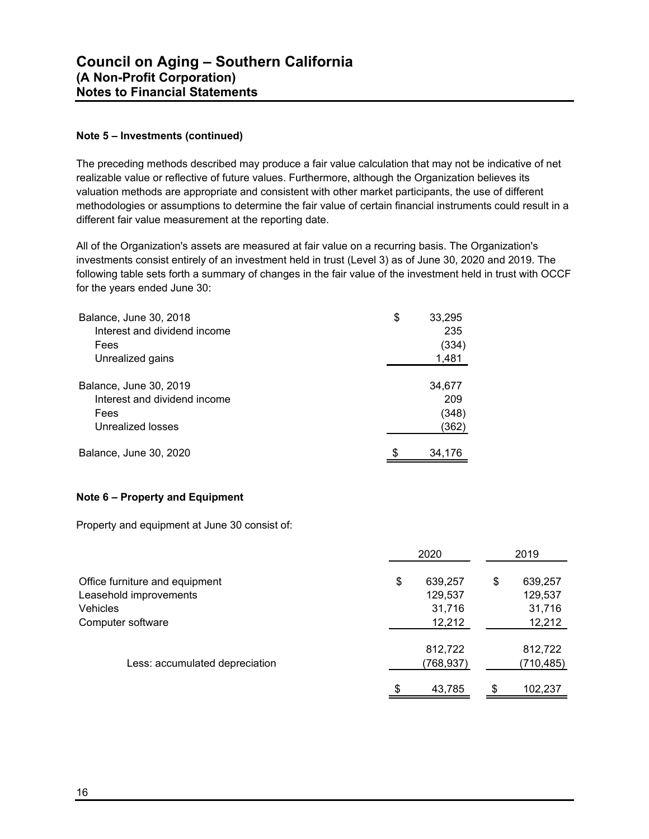#### **Note 5 – Investments (continued)**

The preceding methods described may produce a fair value calculation that may not be indicative of net realizable value or reflective of future values. Furthermore, although the Organization believes its valuation methods are appropriate and consistent with other market participants, the use of different methodologies or assumptions to determine the fair value of certain financial instruments could result in a different fair value measurement at the reporting date.

All of the Organization's assets are measured at fair value on a recurring basis. The Organization's investments consist entirely of an investment held in trust (Level 3) as of June 30, 2020 and 2019. The following table sets forth a summary of changes in the fair value of the investment held in trust with OCCF for the years ended June 30:

| Balance, June 30, 2018       | \$<br>33,295 |
|------------------------------|--------------|
| Interest and dividend income | 235          |
| Fees                         | (334)        |
| Unrealized gains             | 1,481        |
|                              |              |
| Balance, June 30, 2019       | 34,677       |
| Interest and dividend income | 209          |
| Fees                         | (348)        |
| Unrealized losses            | (362)        |
|                              |              |
| Balance, June 30, 2020       | \$<br>34,176 |

#### **Note 6 – Property and Equipment**

Property and equipment at June 30 consist of:

|                                                                      | 2020                               |    |                                 |
|----------------------------------------------------------------------|------------------------------------|----|---------------------------------|
| Office furniture and equipment<br>Leasehold improvements<br>Vehicles | \$<br>639,257<br>129,537<br>31,716 | \$ | 639,257<br>129,537<br>31,716    |
| Computer software<br>Less: accumulated depreciation                  | 12,212<br>812,722<br>(768,937)     |    | 12,212<br>812,722<br>(710, 485) |
|                                                                      | \$<br>43,785                       | \$ | 102,237                         |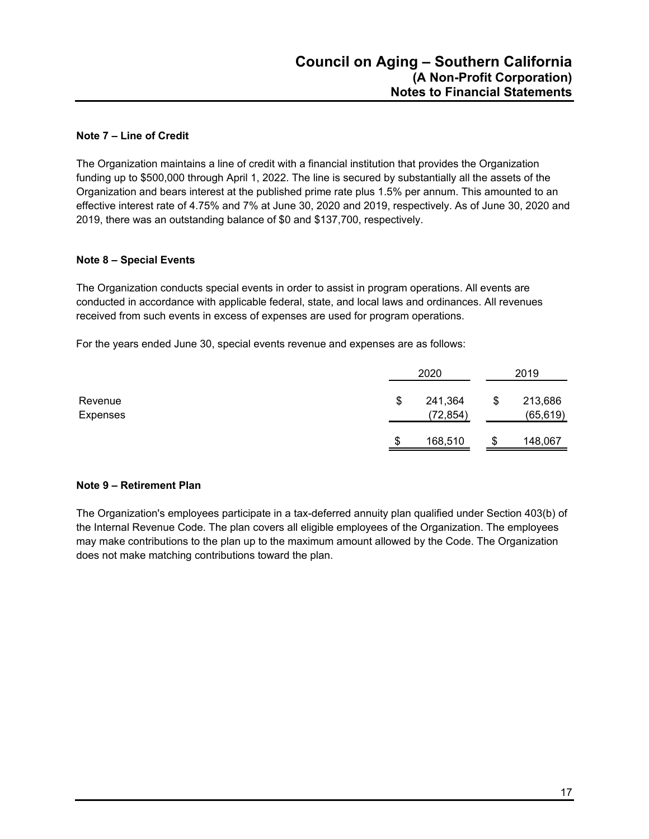#### **Note 7 – Line of Credit**

The Organization maintains a line of credit with a financial institution that provides the Organization funding up to \$500,000 through April 1, 2022. The line is secured by substantially all the assets of the Organization and bears interest at the published prime rate plus 1.5% per annum. This amounted to an effective interest rate of 4.75% and 7% at June 30, 2020 and 2019, respectively. As of June 30, 2020 and 2019, there was an outstanding balance of \$0 and \$137,700, respectively.

#### **Note 8 – Special Events**

The Organization conducts special events in order to assist in program operations. All events are conducted in accordance with applicable federal, state, and local laws and ordinances. All revenues received from such events in excess of expenses are used for program operations.

For the years ended June 30, special events revenue and expenses are as follows:

|                     | 2020 |                      | 2019 |                      |  |
|---------------------|------|----------------------|------|----------------------|--|
| Revenue<br>Expenses | S    | 241,364<br>(72, 854) | \$   | 213,686<br>(65, 619) |  |
|                     | S    | 168,510              | \$   | 148,067              |  |

#### **Note 9 – Retirement Plan**

The Organization's employees participate in a tax-deferred annuity plan qualified under Section 403(b) of the Internal Revenue Code. The plan covers all eligible employees of the Organization. The employees may make contributions to the plan up to the maximum amount allowed by the Code. The Organization does not make matching contributions toward the plan.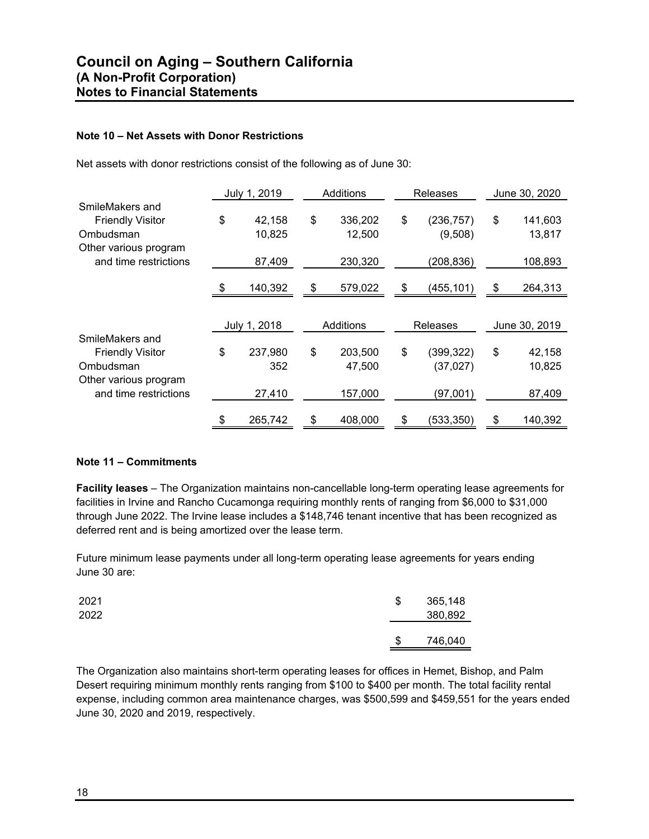#### **Note 10 – Net Assets with Donor Restrictions**

Net assets with donor restrictions consist of the following as of June 30:

|                                                                                  | July 1, 2019           | Additions               | Releases                     | June 30, 2020           |
|----------------------------------------------------------------------------------|------------------------|-------------------------|------------------------------|-------------------------|
| SmileMakers and<br><b>Friendly Visitor</b><br>Ombudsman<br>Other various program | \$<br>42,158<br>10,825 | \$<br>336,202<br>12,500 | \$<br>(236, 757)<br>(9,508)  | \$<br>141,603<br>13,817 |
| and time restrictions                                                            | 87,409                 | 230,320                 | (208, 836)                   | 108,893                 |
|                                                                                  | \$<br>140,392          | \$<br>579,022           | \$<br>(455, 101)             | \$<br>264,313           |
|                                                                                  | July 1, 2018           | Additions               | <b>Releases</b>              | June 30, 2019           |
| SmileMakers and<br><b>Friendly Visitor</b><br>Ombudsman<br>Other various program | \$<br>237,980<br>352   | \$<br>203,500<br>47,500 | \$<br>(399,322)<br>(37, 027) | \$<br>42,158<br>10,825  |
| and time restrictions                                                            | 27,410                 | 157,000                 | (97,001)                     | 87,409                  |
|                                                                                  | \$<br>265,742          | \$<br>408,000           | \$<br>(533, 350)             | \$<br>140,392           |

#### **Note 11 – Commitments**

**Facility leases** – The Organization maintains non-cancellable long-term operating lease agreements for facilities in Irvine and Rancho Cucamonga requiring monthly rents of ranging from \$6,000 to \$31,000 through June 2022. The Irvine lease includes a \$148,746 tenant incentive that has been recognized as deferred rent and is being amortized over the lease term.

Future minimum lease payments under all long-term operating lease agreements for years ending June 30 are:

| 2021<br>2022 | \$ | 365,148<br>380,892 |
|--------------|----|--------------------|
|              | \$ | 746,040            |

The Organization also maintains short-term operating leases for offices in Hemet, Bishop, and Palm Desert requiring minimum monthly rents ranging from \$100 to \$400 per month. The total facility rental expense, including common area maintenance charges, was \$500,599 and \$459,551 for the years ended June 30, 2020 and 2019, respectively.